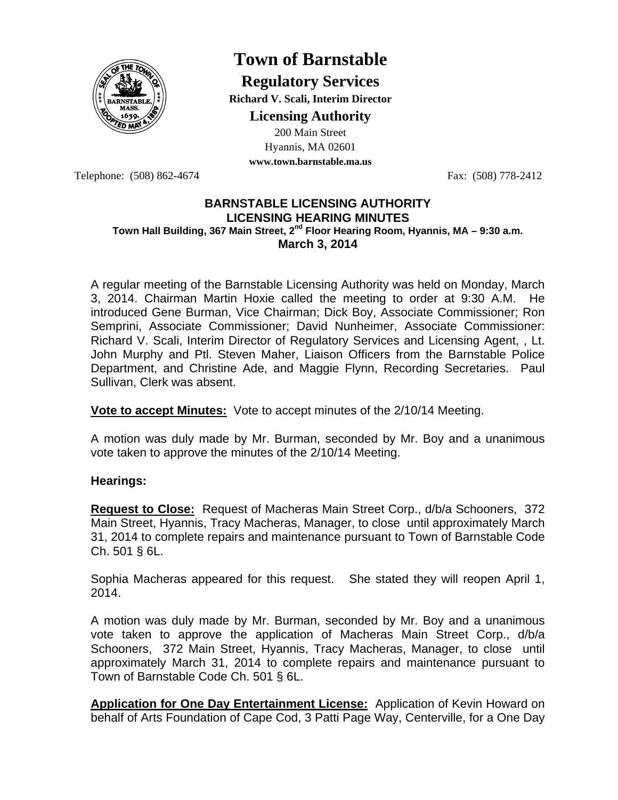

# **Town of Barnstable**

**Regulatory Services Richard V. Scali, Interim Director** 

**Licensing Authority**

200 Main Street Hyannis, MA 02601 **www.town.barnstable.ma.us**

Telephone: (508) 862-4674 Fax: (508) 778-2412

### **BARNSTABLE LICENSING AUTHORITY LICENSING HEARING MINUTES**  Town Hall Building, 367 Main Street, 2<sup>nd</sup> Floor Hearing Room, Hyannis, MA – 9:30 a.m. **March 3, 2014**

A regular meeting of the Barnstable Licensing Authority was held on Monday, March 3, 2014. Chairman Martin Hoxie called the meeting to order at 9:30 A.M. He introduced Gene Burman, Vice Chairman; Dick Boy, Associate Commissioner; Ron Semprini, Associate Commissioner; David Nunheimer, Associate Commissioner: Richard V. Scali, Interim Director of Regulatory Services and Licensing Agent, , Lt. John Murphy and Ptl. Steven Maher, Liaison Officers from the Barnstable Police Department, and Christine Ade, and Maggie Flynn, Recording Secretaries. Paul Sullivan, Clerk was absent.

**Vote to accept Minutes:** Vote to accept minutes of the 2/10/14 Meeting.

A motion was duly made by Mr. Burman, seconded by Mr. Boy and a unanimous vote taken to approve the minutes of the 2/10/14 Meeting.

## **Hearings:**

**Request to Close:** Request of Macheras Main Street Corp., d/b/a Schooners, 372 Main Street, Hyannis, Tracy Macheras, Manager, to close until approximately March 31, 2014 to complete repairs and maintenance pursuant to Town of Barnstable Code Ch. 501 § 6L.

Sophia Macheras appeared for this request. She stated they will reopen April 1, 2014.

A motion was duly made by Mr. Burman, seconded by Mr. Boy and a unanimous vote taken to approve the application of Macheras Main Street Corp., d/b/a Schooners, 372 Main Street, Hyannis, Tracy Macheras, Manager, to close until approximately March 31, 2014 to complete repairs and maintenance pursuant to Town of Barnstable Code Ch. 501 § 6L.

**Application for One Day Entertainment License:** Application of Kevin Howard on behalf of Arts Foundation of Cape Cod, 3 Patti Page Way, Centerville, for a One Day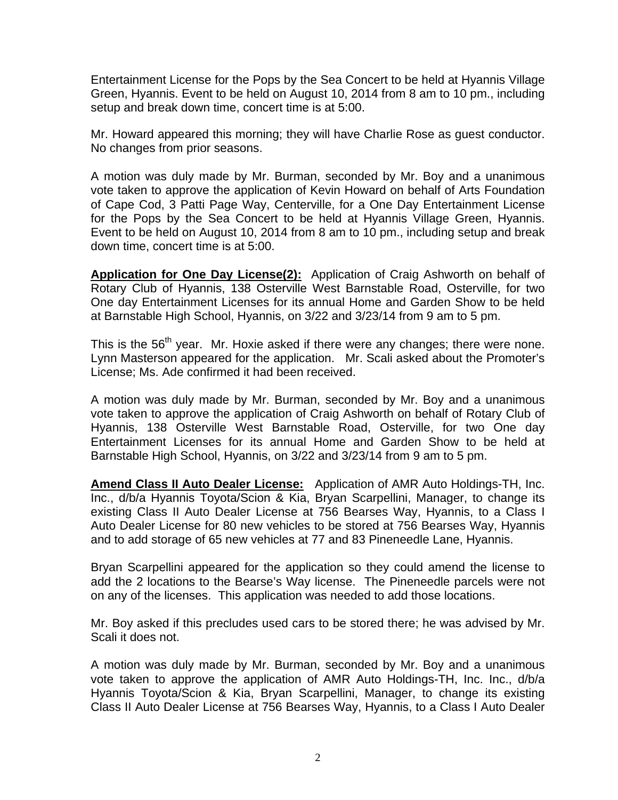Entertainment License for the Pops by the Sea Concert to be held at Hyannis Village Green, Hyannis. Event to be held on August 10, 2014 from 8 am to 10 pm., including setup and break down time, concert time is at 5:00.

Mr. Howard appeared this morning; they will have Charlie Rose as guest conductor. No changes from prior seasons.

A motion was duly made by Mr. Burman, seconded by Mr. Boy and a unanimous vote taken to approve the application of Kevin Howard on behalf of Arts Foundation of Cape Cod, 3 Patti Page Way, Centerville, for a One Day Entertainment License for the Pops by the Sea Concert to be held at Hyannis Village Green, Hyannis. Event to be held on August 10, 2014 from 8 am to 10 pm., including setup and break down time, concert time is at 5:00.

**Application for One Day License(2):** Application of Craig Ashworth on behalf of Rotary Club of Hyannis, 138 Osterville West Barnstable Road, Osterville, for two One day Entertainment Licenses for its annual Home and Garden Show to be held at Barnstable High School, Hyannis, on 3/22 and 3/23/14 from 9 am to 5 pm.

This is the 56<sup>th</sup> year. Mr. Hoxie asked if there were any changes; there were none. Lynn Masterson appeared for the application. Mr. Scali asked about the Promoter's License; Ms. Ade confirmed it had been received.

A motion was duly made by Mr. Burman, seconded by Mr. Boy and a unanimous vote taken to approve the application of Craig Ashworth on behalf of Rotary Club of Hyannis, 138 Osterville West Barnstable Road, Osterville, for two One day Entertainment Licenses for its annual Home and Garden Show to be held at Barnstable High School, Hyannis, on 3/22 and 3/23/14 from 9 am to 5 pm.

**Amend Class II Auto Dealer License:** Application of AMR Auto Holdings-TH, Inc. Inc., d/b/a Hyannis Toyota/Scion & Kia, Bryan Scarpellini, Manager, to change its existing Class II Auto Dealer License at 756 Bearses Way, Hyannis, to a Class I Auto Dealer License for 80 new vehicles to be stored at 756 Bearses Way, Hyannis and to add storage of 65 new vehicles at 77 and 83 Pineneedle Lane, Hyannis.

Bryan Scarpellini appeared for the application so they could amend the license to add the 2 locations to the Bearse's Way license. The Pineneedle parcels were not on any of the licenses. This application was needed to add those locations.

Mr. Boy asked if this precludes used cars to be stored there; he was advised by Mr. Scali it does not.

A motion was duly made by Mr. Burman, seconded by Mr. Boy and a unanimous vote taken to approve the application of AMR Auto Holdings-TH, Inc. Inc., d/b/a Hyannis Toyota/Scion & Kia, Bryan Scarpellini, Manager, to change its existing Class II Auto Dealer License at 756 Bearses Way, Hyannis, to a Class I Auto Dealer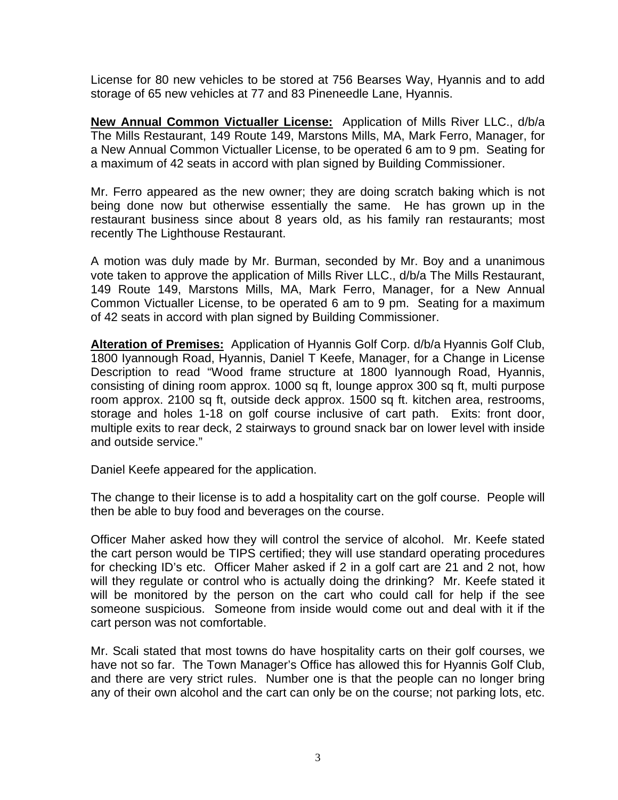License for 80 new vehicles to be stored at 756 Bearses Way, Hyannis and to add storage of 65 new vehicles at 77 and 83 Pineneedle Lane, Hyannis.

**New Annual Common Victualler License:** Application of Mills River LLC., d/b/a The Mills Restaurant, 149 Route 149, Marstons Mills, MA, Mark Ferro, Manager, for a New Annual Common Victualler License, to be operated 6 am to 9 pm. Seating for a maximum of 42 seats in accord with plan signed by Building Commissioner.

Mr. Ferro appeared as the new owner; they are doing scratch baking which is not being done now but otherwise essentially the same. He has grown up in the restaurant business since about 8 years old, as his family ran restaurants; most recently The Lighthouse Restaurant.

A motion was duly made by Mr. Burman, seconded by Mr. Boy and a unanimous vote taken to approve the application of Mills River LLC., d/b/a The Mills Restaurant, 149 Route 149, Marstons Mills, MA, Mark Ferro, Manager, for a New Annual Common Victualler License, to be operated 6 am to 9 pm. Seating for a maximum of 42 seats in accord with plan signed by Building Commissioner.

**Alteration of Premises:** Application of Hyannis Golf Corp. d/b/a Hyannis Golf Club, 1800 Iyannough Road, Hyannis, Daniel T Keefe, Manager, for a Change in License Description to read "Wood frame structure at 1800 Iyannough Road, Hyannis, consisting of dining room approx. 1000 sq ft, lounge approx 300 sq ft, multi purpose room approx. 2100 sq ft, outside deck approx. 1500 sq ft. kitchen area, restrooms, storage and holes 1-18 on golf course inclusive of cart path. Exits: front door, multiple exits to rear deck, 2 stairways to ground snack bar on lower level with inside and outside service."

Daniel Keefe appeared for the application.

The change to their license is to add a hospitality cart on the golf course. People will then be able to buy food and beverages on the course.

Officer Maher asked how they will control the service of alcohol. Mr. Keefe stated the cart person would be TIPS certified; they will use standard operating procedures for checking ID's etc. Officer Maher asked if 2 in a golf cart are 21 and 2 not, how will they regulate or control who is actually doing the drinking? Mr. Keefe stated it will be monitored by the person on the cart who could call for help if the see someone suspicious. Someone from inside would come out and deal with it if the cart person was not comfortable.

Mr. Scali stated that most towns do have hospitality carts on their golf courses, we have not so far. The Town Manager's Office has allowed this for Hyannis Golf Club, and there are very strict rules. Number one is that the people can no longer bring any of their own alcohol and the cart can only be on the course; not parking lots, etc.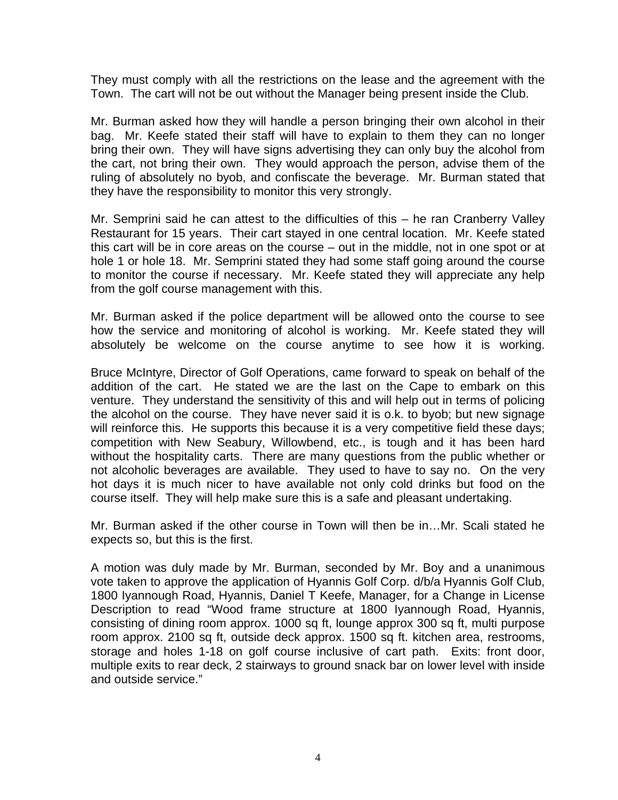They must comply with all the restrictions on the lease and the agreement with the Town. The cart will not be out without the Manager being present inside the Club.

Mr. Burman asked how they will handle a person bringing their own alcohol in their bag. Mr. Keefe stated their staff will have to explain to them they can no longer bring their own. They will have signs advertising they can only buy the alcohol from the cart, not bring their own. They would approach the person, advise them of the ruling of absolutely no byob, and confiscate the beverage. Mr. Burman stated that they have the responsibility to monitor this very strongly.

Mr. Semprini said he can attest to the difficulties of this – he ran Cranberry Valley Restaurant for 15 years. Their cart stayed in one central location. Mr. Keefe stated this cart will be in core areas on the course – out in the middle, not in one spot or at hole 1 or hole 18. Mr. Semprini stated they had some staff going around the course to monitor the course if necessary. Mr. Keefe stated they will appreciate any help from the golf course management with this.

Mr. Burman asked if the police department will be allowed onto the course to see how the service and monitoring of alcohol is working. Mr. Keefe stated they will absolutely be welcome on the course anytime to see how it is working.

Bruce McIntyre, Director of Golf Operations, came forward to speak on behalf of the addition of the cart. He stated we are the last on the Cape to embark on this venture. They understand the sensitivity of this and will help out in terms of policing the alcohol on the course. They have never said it is o.k. to byob; but new signage will reinforce this. He supports this because it is a very competitive field these days; competition with New Seabury, Willowbend, etc., is tough and it has been hard without the hospitality carts. There are many questions from the public whether or not alcoholic beverages are available. They used to have to say no. On the very hot days it is much nicer to have available not only cold drinks but food on the course itself. They will help make sure this is a safe and pleasant undertaking.

Mr. Burman asked if the other course in Town will then be in…Mr. Scali stated he expects so, but this is the first.

A motion was duly made by Mr. Burman, seconded by Mr. Boy and a unanimous vote taken to approve the application of Hyannis Golf Corp. d/b/a Hyannis Golf Club, 1800 Iyannough Road, Hyannis, Daniel T Keefe, Manager, for a Change in License Description to read "Wood frame structure at 1800 Iyannough Road, Hyannis, consisting of dining room approx. 1000 sq ft, lounge approx 300 sq ft, multi purpose room approx. 2100 sq ft, outside deck approx. 1500 sq ft. kitchen area, restrooms, storage and holes 1-18 on golf course inclusive of cart path. Exits: front door, multiple exits to rear deck, 2 stairways to ground snack bar on lower level with inside and outside service."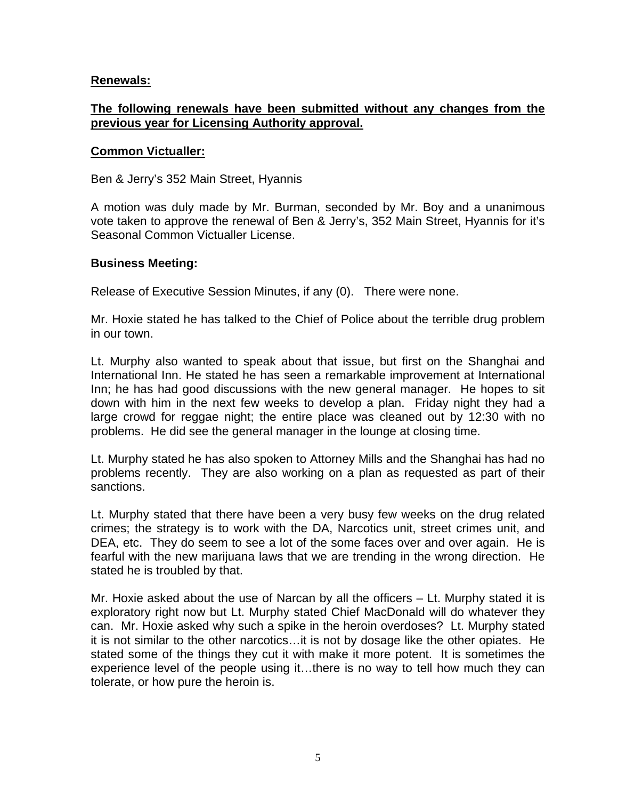## **Renewals:**

# **The following renewals have been submitted without any changes from the previous year for Licensing Authority approval.**

#### **Common Victualler:**

Ben & Jerry's 352 Main Street, Hyannis

A motion was duly made by Mr. Burman, seconded by Mr. Boy and a unanimous vote taken to approve the renewal of Ben & Jerry's, 352 Main Street, Hyannis for it's Seasonal Common Victualler License.

#### **Business Meeting:**

Release of Executive Session Minutes, if any (0). There were none.

Mr. Hoxie stated he has talked to the Chief of Police about the terrible drug problem in our town.

Lt. Murphy also wanted to speak about that issue, but first on the Shanghai and International Inn. He stated he has seen a remarkable improvement at International Inn; he has had good discussions with the new general manager. He hopes to sit down with him in the next few weeks to develop a plan. Friday night they had a large crowd for reggae night; the entire place was cleaned out by 12:30 with no problems. He did see the general manager in the lounge at closing time.

Lt. Murphy stated he has also spoken to Attorney Mills and the Shanghai has had no problems recently. They are also working on a plan as requested as part of their sanctions.

Lt. Murphy stated that there have been a very busy few weeks on the drug related crimes; the strategy is to work with the DA, Narcotics unit, street crimes unit, and DEA, etc. They do seem to see a lot of the some faces over and over again. He is fearful with the new marijuana laws that we are trending in the wrong direction. He stated he is troubled by that.

Mr. Hoxie asked about the use of Narcan by all the officers – Lt. Murphy stated it is exploratory right now but Lt. Murphy stated Chief MacDonald will do whatever they can. Mr. Hoxie asked why such a spike in the heroin overdoses? Lt. Murphy stated it is not similar to the other narcotics…it is not by dosage like the other opiates. He stated some of the things they cut it with make it more potent. It is sometimes the experience level of the people using it…there is no way to tell how much they can tolerate, or how pure the heroin is.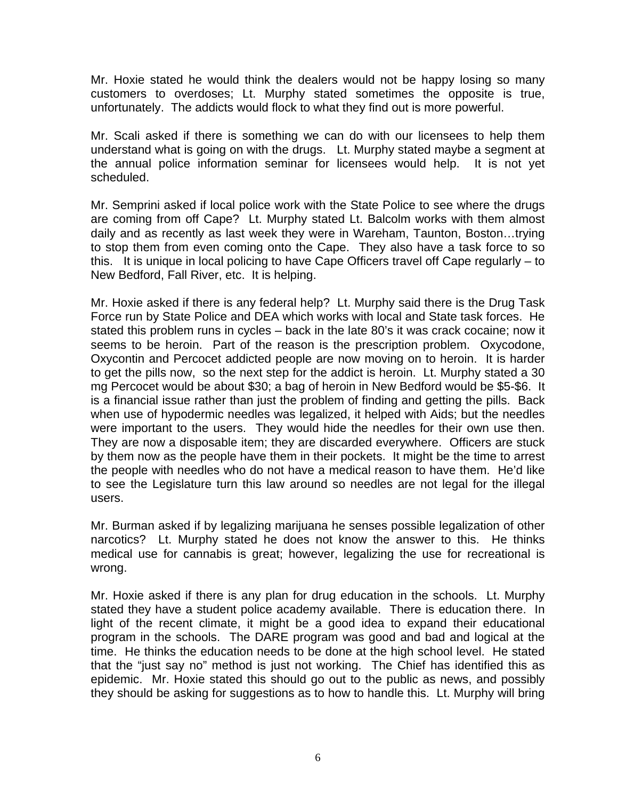Mr. Hoxie stated he would think the dealers would not be happy losing so many customers to overdoses; Lt. Murphy stated sometimes the opposite is true, unfortunately. The addicts would flock to what they find out is more powerful.

Mr. Scali asked if there is something we can do with our licensees to help them understand what is going on with the drugs. Lt. Murphy stated maybe a segment at the annual police information seminar for licensees would help. It is not yet scheduled.

Mr. Semprini asked if local police work with the State Police to see where the drugs are coming from off Cape? Lt. Murphy stated Lt. Balcolm works with them almost daily and as recently as last week they were in Wareham, Taunton, Boston…trying to stop them from even coming onto the Cape. They also have a task force to so this. It is unique in local policing to have Cape Officers travel off Cape regularly – to New Bedford, Fall River, etc. It is helping.

Mr. Hoxie asked if there is any federal help? Lt. Murphy said there is the Drug Task Force run by State Police and DEA which works with local and State task forces. He stated this problem runs in cycles – back in the late 80's it was crack cocaine; now it seems to be heroin. Part of the reason is the prescription problem. Oxycodone, Oxycontin and Percocet addicted people are now moving on to heroin. It is harder to get the pills now, so the next step for the addict is heroin. Lt. Murphy stated a 30 mg Percocet would be about \$30; a bag of heroin in New Bedford would be \$5-\$6. It is a financial issue rather than just the problem of finding and getting the pills. Back when use of hypodermic needles was legalized, it helped with Aids; but the needles were important to the users. They would hide the needles for their own use then. They are now a disposable item; they are discarded everywhere. Officers are stuck by them now as the people have them in their pockets. It might be the time to arrest the people with needles who do not have a medical reason to have them. He'd like to see the Legislature turn this law around so needles are not legal for the illegal users.

Mr. Burman asked if by legalizing marijuana he senses possible legalization of other narcotics? Lt. Murphy stated he does not know the answer to this. He thinks medical use for cannabis is great; however, legalizing the use for recreational is wrong.

Mr. Hoxie asked if there is any plan for drug education in the schools. Lt. Murphy stated they have a student police academy available. There is education there. In light of the recent climate, it might be a good idea to expand their educational program in the schools. The DARE program was good and bad and logical at the time. He thinks the education needs to be done at the high school level. He stated that the "just say no" method is just not working. The Chief has identified this as epidemic. Mr. Hoxie stated this should go out to the public as news, and possibly they should be asking for suggestions as to how to handle this. Lt. Murphy will bring